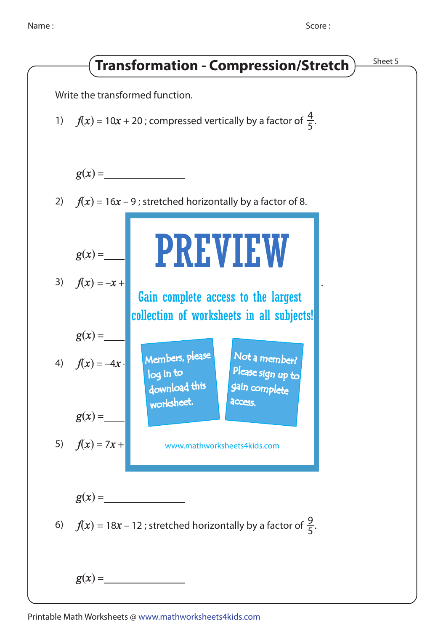